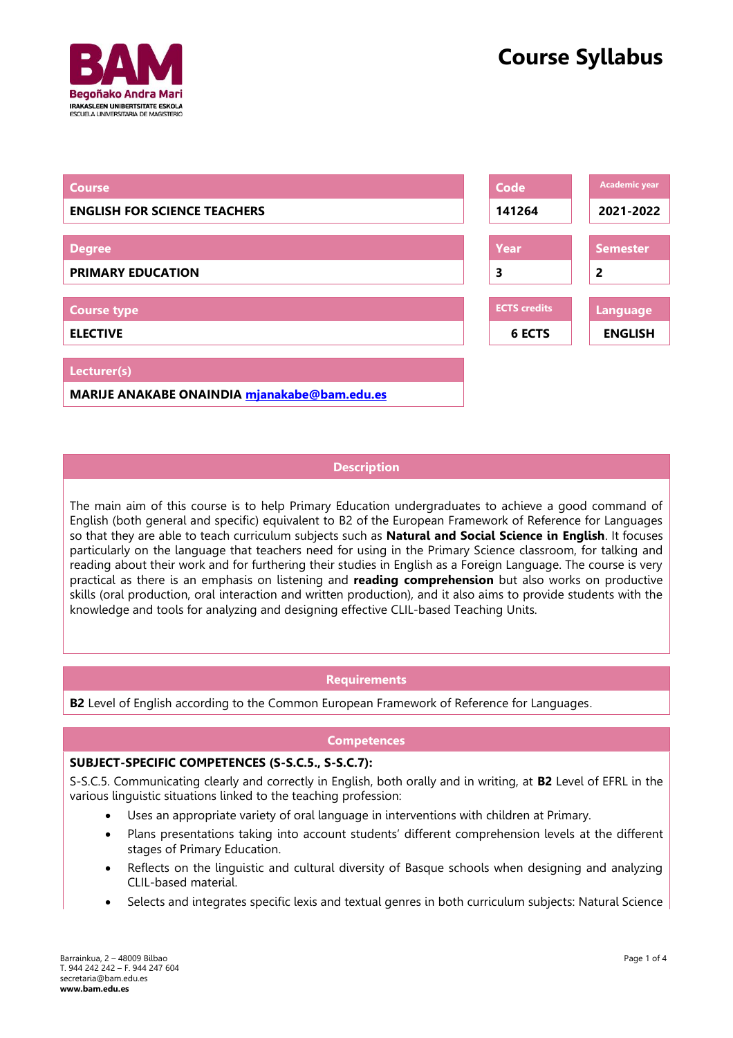

| <b>Course</b>                                | Code                | <b>Academic year</b> |
|----------------------------------------------|---------------------|----------------------|
| <b>ENGLISH FOR SCIENCE TEACHERS</b>          | 141264              | 2021-2022            |
|                                              |                     |                      |
| <b>Degree</b>                                | Year                | <b>Semester</b>      |
| <b>PRIMARY EDUCATION</b>                     | 3                   | $\overline{2}$       |
|                                              |                     |                      |
| <b>Course type</b>                           | <b>ECTS</b> credits | <b>Language</b>      |
| <b>ELECTIVE</b>                              | <b>6 ECTS</b>       | <b>ENGLISH</b>       |
|                                              |                     |                      |
| Lecturer(s)                                  |                     |                      |
| MARIJE ANAKABE ONAINDIA mjanakabe@bam.edu.es |                     |                      |

# **Description**

The main aim of this course is to help Primary Education undergraduates to achieve a good command of English (both general and specific) equivalent to B2 of the European Framework of Reference for Languages so that they are able to teach curriculum subjects such as **Natural and Social Science in English**. It focuses particularly on the language that teachers need for using in the Primary Science classroom, for talking and reading about their work and for furthering their studies in English as a Foreign Language. The course is very practical as there is an emphasis on listening and **reading comprehension** but also works on productive skills (oral production, oral interaction and written production), and it also aims to provide students with the knowledge and tools for analyzing and designing effective CLIL-based Teaching Units.

#### **Requirements**

**B2** Level of English according to the Common European Framework of Reference for Languages.

#### **Competences**

#### **SUBJECT-SPECIFIC COMPETENCES (S-S.C.5., S-S.C.7):**

S-S.C.5. Communicating clearly and correctly in English, both orally and in writing, at **B2** Level of EFRL in the various linguistic situations linked to the teaching profession:

- Uses an appropriate variety of oral language in interventions with children at Primary.
- Plans presentations taking into account students' different comprehension levels at the different stages of Primary Education.
- Reflects on the linguistic and cultural diversity of Basque schools when designing and analyzing CLIL-based material.
- Selects and integrates specific lexis and textual genres in both curriculum subjects: Natural Science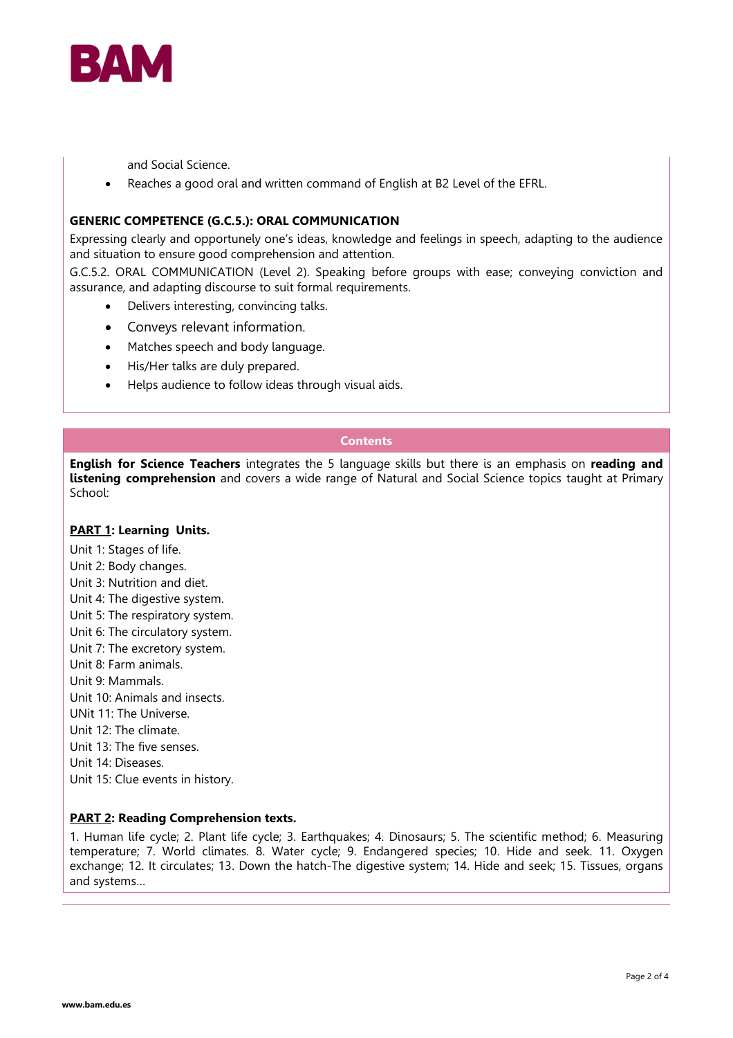

and Social Science.

Reaches a good oral and written command of English at B2 Level of the EFRL.

#### **GENERIC COMPETENCE (G.C.5.): ORAL COMMUNICATION**

Expressing clearly and opportunely one's ideas, knowledge and feelings in speech, adapting to the audience and situation to ensure good comprehension and attention.

G.C.5.2. ORAL COMMUNICATION (Level 2). Speaking before groups with ease; conveying conviction and assurance, and adapting discourse to suit formal requirements.

- Delivers interesting, convincing talks.
- Conveys relevant information.
- Matches speech and body language.
- His/Her talks are duly prepared.
- Helps audience to follow ideas through visual aids.

## **Contents**

**English for Science Teachers** integrates the 5 language skills but there is an emphasis on **reading and listening comprehension** and covers a wide range of Natural and Social Science topics taught at Primary School:

#### **PART 1: Learning Units.**

- Unit 1: Stages of life.
- Unit 2: Body changes.
- Unit 3: Nutrition and diet.
- Unit 4: The digestive system.
- Unit 5: The respiratory system.
- Unit 6: The circulatory system.
- Unit 7: The excretory system.
- Unit 8: Farm animals.
- Unit 9: Mammals.
- Unit 10: Animals and insects.
- UNit 11: The Universe.
- Unit 12: The climate.
- Unit 13: The five senses.
- Unit 14: Diseases.
- Unit 15: Clue events in history.

#### **PART 2: Reading Comprehension texts.**

1. Human life cycle; 2. Plant life cycle; 3. Earthquakes; 4. Dinosaurs; 5. The scientific method; 6. Measuring temperature; 7. World climates. 8. Water cycle; 9. Endangered species; 10. Hide and seek. 11. Oxygen exchange; 12. It circulates; 13. Down the hatch-The digestive system; 14. Hide and seek; 15. Tissues, organs and systems…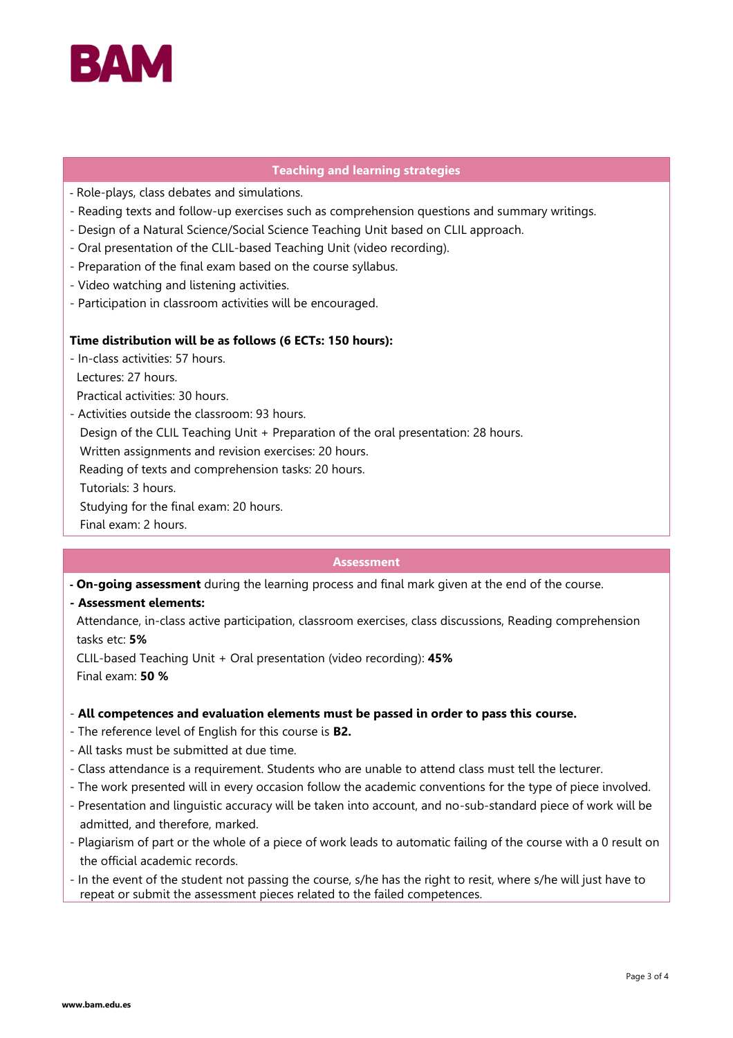

#### **Teaching and learning strategies**

- Role-plays, class debates and simulations.
- Reading texts and follow-up exercises such as comprehension questions and summary writings.
- Design of a Natural Science/Social Science Teaching Unit based on CLIL approach.
- Oral presentation of the CLIL-based Teaching Unit (video recording).
- Preparation of the final exam based on the course syllabus.
- Video watching and listening activities.
- Participation in classroom activities will be encouraged.

### **Time distribution will be as follows (6 ECTs: 150 hours):**

- In-class activities: 57 hours. Lectures: 27 hours. Practical activities: 30 hours.
- Activities outside the classroom: 93 hours.

Design of the CLIL Teaching Unit + Preparation of the oral presentation: 28 hours.

Written assignments and revision exercises: 20 hours.

Reading of texts and comprehension tasks: 20 hours.

Tutorials: 3 hours.

Studying for the final exam: 20 hours.

Final exam: 2 hours.

#### **Assessment**

- **- On-going assessment** during the learning process and final mark given at the end of the course.
- **- Assessment elements:**

 Attendance, in-class active participation, classroom exercises, class discussions, Reading comprehension tasks etc: **5%**

 CLIL-based Teaching Unit + Oral presentation (video recording): **45%**  Final exam: **50 %**

#### - **All competences and evaluation elements must be passed in order to pass this course.**

- The reference level of English for this course is **B2.**
- All tasks must be submitted at due time.
- Class attendance is a requirement. Students who are unable to attend class must tell the lecturer.
- The work presented will in every occasion follow the academic conventions for the type of piece involved.
- Presentation and linguistic accuracy will be taken into account, and no-sub-standard piece of work will be admitted, and therefore, marked.
- Plagiarism of part or the whole of a piece of work leads to automatic failing of the course with a 0 result on the official academic records.
- In the event of the student not passing the course, s/he has the right to resit, where s/he will just have to repeat or submit the assessment pieces related to the failed competences.